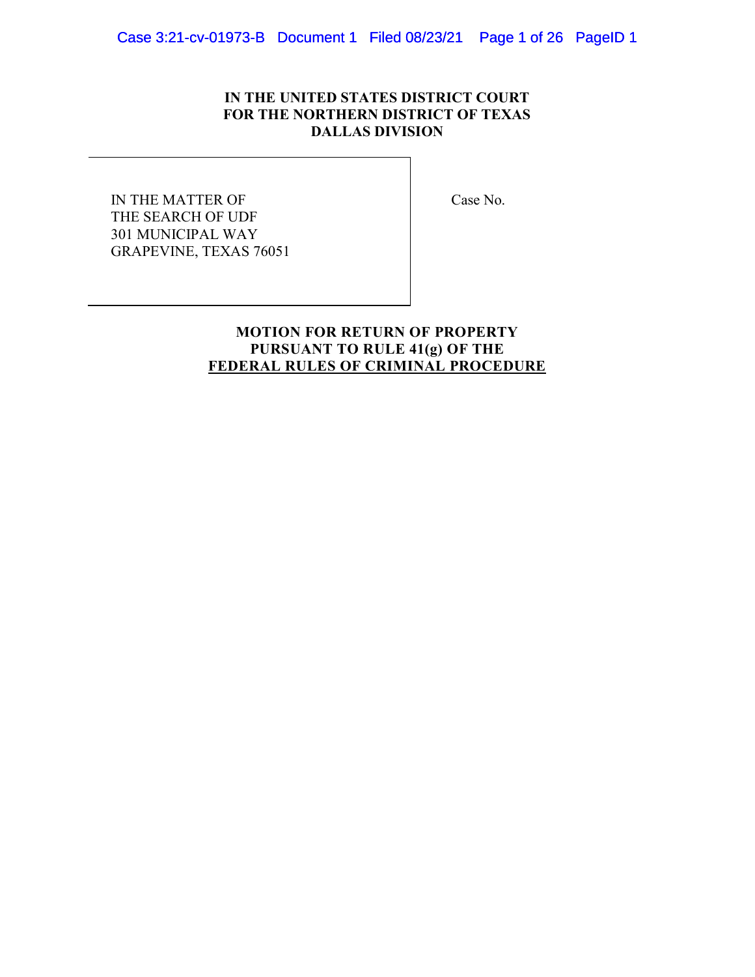# IN THE UNITED STATES DISTRICT COURT FOR THE NORTHERN DISTRICT OF TEXAS DALLAS DIVISION

IN THE MATTER OF THE SEARCH OF UDF 301 MUNICIPAL WAY GRAPEVINE, TEXAS 76051 Case No.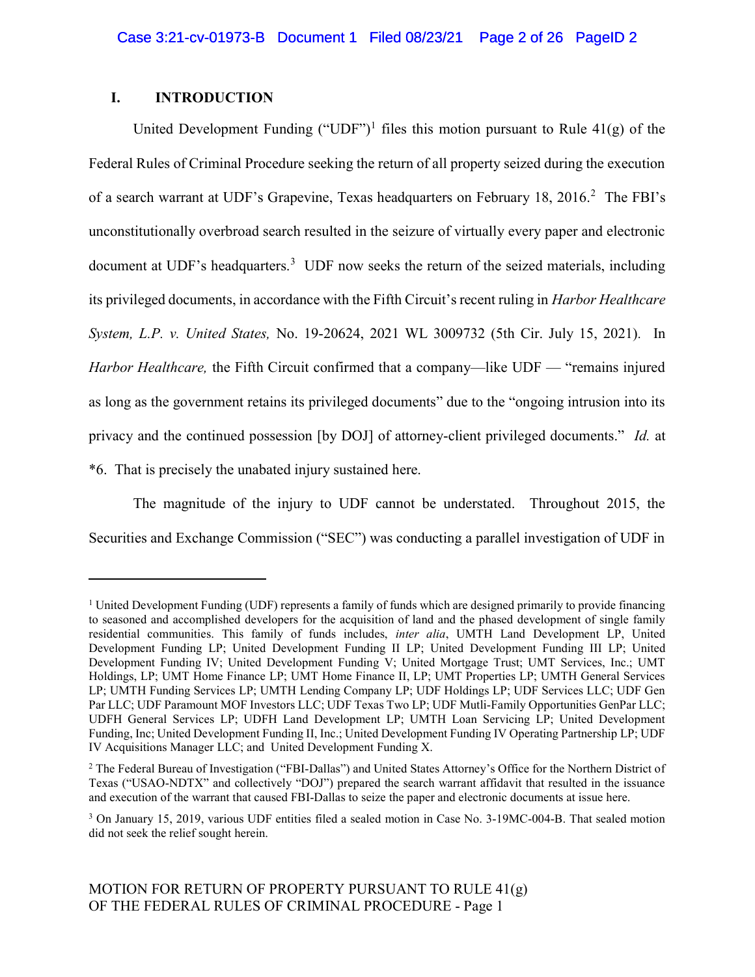# I. INTRODUCTION

 $\overline{a}$ 

United Development Funding ("UDF")<sup>1</sup> files this motion pursuant to Rule  $41(g)$  of the Federal Rules of Criminal Procedure seeking the return of all property seized during the execution of a search warrant at UDF's Grapevine, Texas headquarters on February 18, 2016.<sup>2</sup> The FBI's unconstitutionally overbroad search resulted in the seizure of virtually every paper and electronic document at UDF's headquarters.<sup>3</sup> UDF now seeks the return of the seized materials, including its privileged documents, in accordance with the Fifth Circuit's recent ruling in Harbor Healthcare System, L.P. v. United States, No. 19-20624, 2021 WL 3009732 (5th Cir. July 15, 2021). In Harbor Healthcare, the Fifth Circuit confirmed that a company—like UDF — "remains injured as long as the government retains its privileged documents" due to the "ongoing intrusion into its privacy and the continued possession [by DOJ] of attorney-client privileged documents." Id. at \*6. That is precisely the unabated injury sustained here.

The magnitude of the injury to UDF cannot be understated. Throughout 2015, the Securities and Exchange Commission ("SEC") was conducting a parallel investigation of UDF in

<sup>&</sup>lt;sup>1</sup> United Development Funding (UDF) represents a family of funds which are designed primarily to provide financing to seasoned and accomplished developers for the acquisition of land and the phased development of single family residential communities. This family of funds includes, inter alia, UMTH Land Development LP, United Development Funding LP; United Development Funding II LP; United Development Funding III LP; United Development Funding IV; United Development Funding V; United Mortgage Trust; UMT Services, Inc.; UMT Holdings, LP; UMT Home Finance LP; UMT Home Finance II, LP; UMT Properties LP; UMTH General Services LP; UMTH Funding Services LP; UMTH Lending Company LP; UDF Holdings LP; UDF Services LLC; UDF Gen Par LLC; UDF Paramount MOF Investors LLC; UDF Texas Two LP; UDF Mutli-Family Opportunities GenPar LLC; UDFH General Services LP; UDFH Land Development LP; UMTH Loan Servicing LP; United Development Funding, Inc; United Development Funding II, Inc.; United Development Funding IV Operating Partnership LP; UDF IV Acquisitions Manager LLC; and United Development Funding X.

<sup>&</sup>lt;sup>2</sup> The Federal Bureau of Investigation ("FBI-Dallas") and United States Attorney's Office for the Northern District of Texas ("USAO-NDTX" and collectively "DOJ") prepared the search warrant affidavit that resulted in the issuance and execution of the warrant that caused FBI-Dallas to seize the paper and electronic documents at issue here.

<sup>&</sup>lt;sup>3</sup> On January 15, 2019, various UDF entities filed a sealed motion in Case No. 3-19MC-004-B. That sealed motion did not seek the relief sought herein.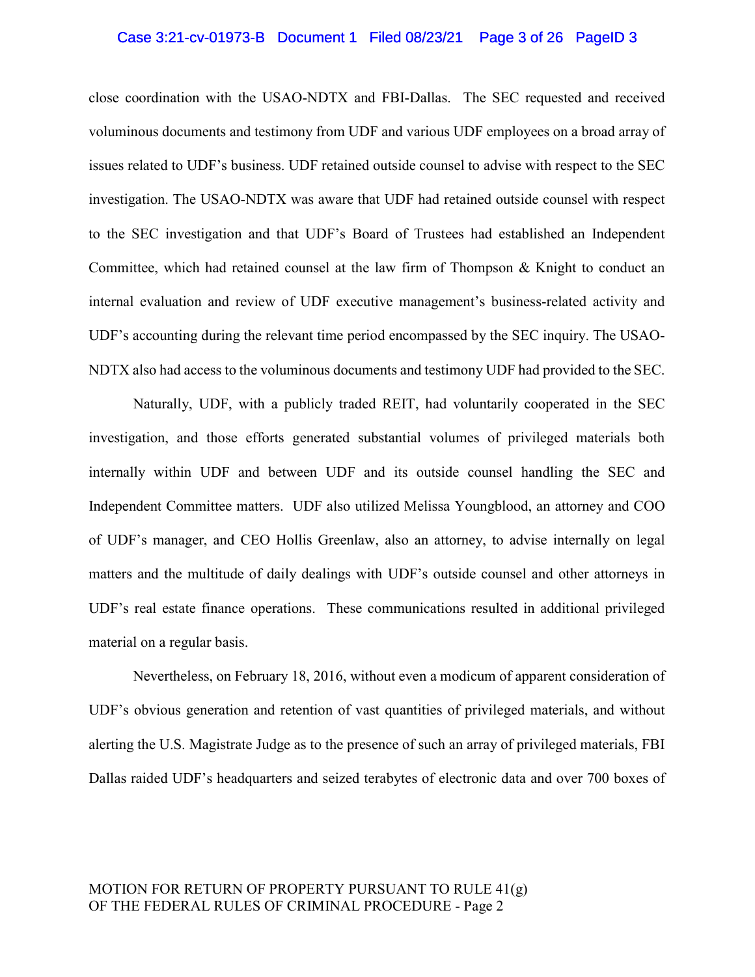## Case 3:21-cv-01973-B Document 1 Filed 08/23/21 Page 3 of 26 PageID 3

close coordination with the USAO-NDTX and FBI-Dallas. The SEC requested and received voluminous documents and testimony from UDF and various UDF employees on a broad array of issues related to UDF's business. UDF retained outside counsel to advise with respect to the SEC investigation. The USAO-NDTX was aware that UDF had retained outside counsel with respect to the SEC investigation and that UDF's Board of Trustees had established an Independent Committee, which had retained counsel at the law firm of Thompson & Knight to conduct an internal evaluation and review of UDF executive management's business-related activity and UDF's accounting during the relevant time period encompassed by the SEC inquiry. The USAO-NDTX also had access to the voluminous documents and testimony UDF had provided to the SEC.

Naturally, UDF, with a publicly traded REIT, had voluntarily cooperated in the SEC investigation, and those efforts generated substantial volumes of privileged materials both internally within UDF and between UDF and its outside counsel handling the SEC and Independent Committee matters. UDF also utilized Melissa Youngblood, an attorney and COO of UDF's manager, and CEO Hollis Greenlaw, also an attorney, to advise internally on legal matters and the multitude of daily dealings with UDF's outside counsel and other attorneys in UDF's real estate finance operations. These communications resulted in additional privileged material on a regular basis.

Nevertheless, on February 18, 2016, without even a modicum of apparent consideration of UDF's obvious generation and retention of vast quantities of privileged materials, and without alerting the U.S. Magistrate Judge as to the presence of such an array of privileged materials, FBI Dallas raided UDF's headquarters and seized terabytes of electronic data and over 700 boxes of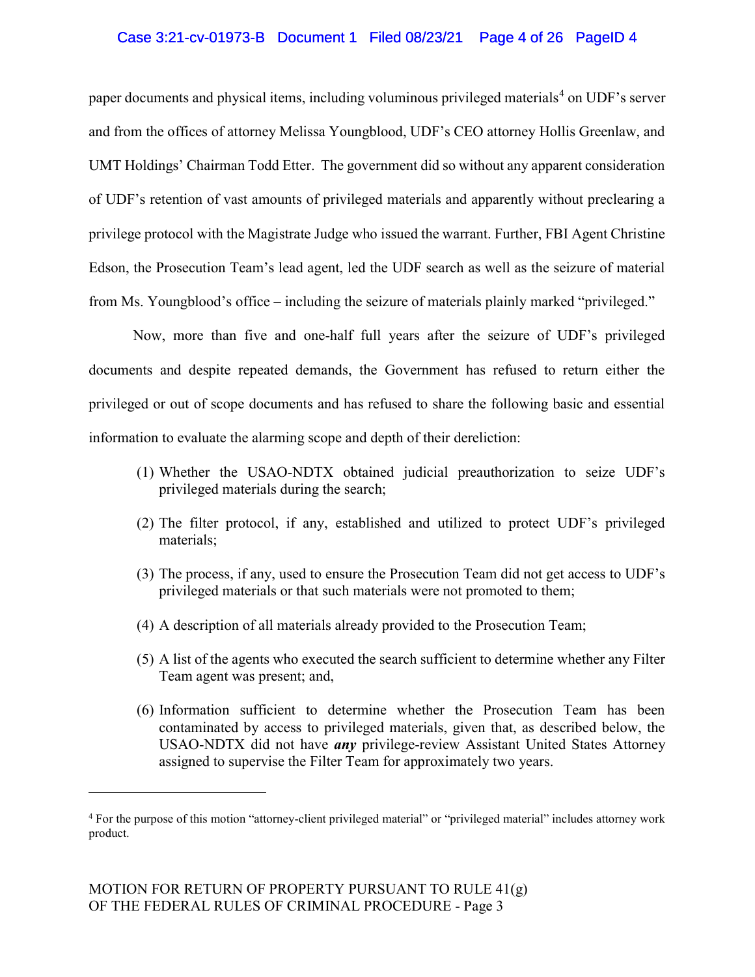## Case 3:21-cv-01973-B Document 1 Filed 08/23/21 Page 4 of 26 PageID 4

paper documents and physical items, including voluminous privileged materials<sup>4</sup> on UDF's server and from the offices of attorney Melissa Youngblood, UDF's CEO attorney Hollis Greenlaw, and UMT Holdings' Chairman Todd Etter. The government did so without any apparent consideration of UDF's retention of vast amounts of privileged materials and apparently without preclearing a privilege protocol with the Magistrate Judge who issued the warrant. Further, FBI Agent Christine Edson, the Prosecution Team's lead agent, led the UDF search as well as the seizure of material from Ms. Youngblood's office – including the seizure of materials plainly marked "privileged."

Now, more than five and one-half full years after the seizure of UDF's privileged documents and despite repeated demands, the Government has refused to return either the privileged or out of scope documents and has refused to share the following basic and essential information to evaluate the alarming scope and depth of their dereliction:

- (1) Whether the USAO-NDTX obtained judicial preauthorization to seize UDF's privileged materials during the search;
- (2) The filter protocol, if any, established and utilized to protect UDF's privileged materials;
- (3) The process, if any, used to ensure the Prosecution Team did not get access to UDF's privileged materials or that such materials were not promoted to them;
- (4) A description of all materials already provided to the Prosecution Team;
- (5) A list of the agents who executed the search sufficient to determine whether any Filter Team agent was present; and,
- (6) Information sufficient to determine whether the Prosecution Team has been contaminated by access to privileged materials, given that, as described below, the USAO-NDTX did not have any privilege-review Assistant United States Attorney assigned to supervise the Filter Team for approximately two years.

<sup>4</sup> For the purpose of this motion "attorney-client privileged material" or "privileged material" includes attorney work product.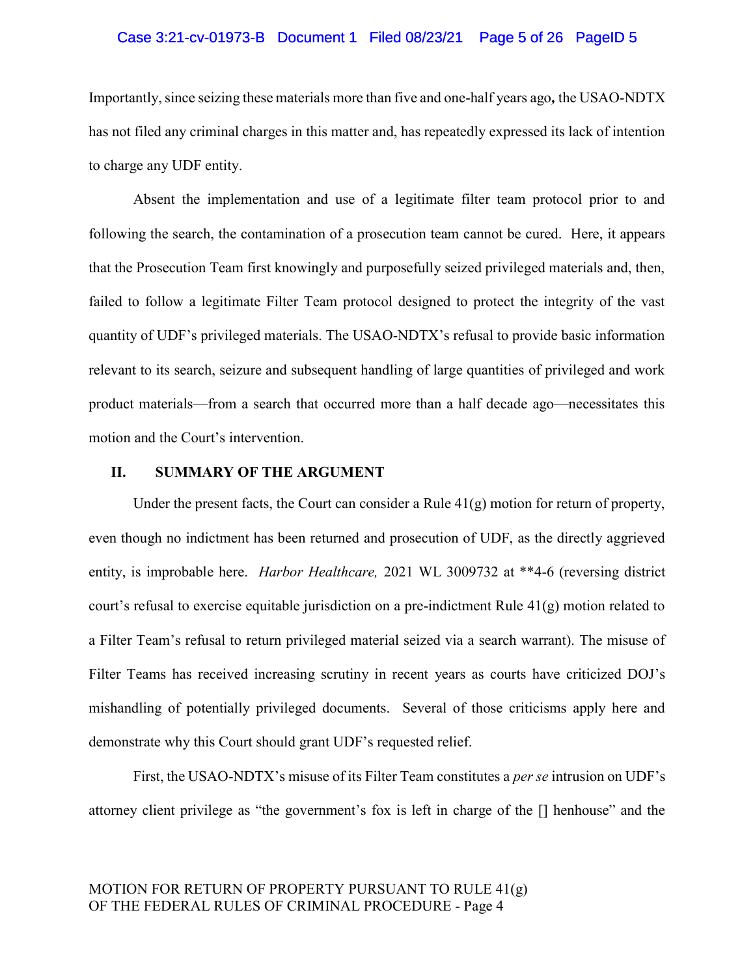## Case 3:21-cv-01973-B Document 1 Filed 08/23/21 Page 5 of 26 PageID 5

Importantly, since seizing these materials more than five and one-half years ago, the USAO-NDTX has not filed any criminal charges in this matter and, has repeatedly expressed its lack of intention to charge any UDF entity.

Absent the implementation and use of a legitimate filter team protocol prior to and following the search, the contamination of a prosecution team cannot be cured. Here, it appears that the Prosecution Team first knowingly and purposefully seized privileged materials and, then, failed to follow a legitimate Filter Team protocol designed to protect the integrity of the vast quantity of UDF's privileged materials. The USAO-NDTX's refusal to provide basic information relevant to its search, seizure and subsequent handling of large quantities of privileged and work product materials—from a search that occurred more than a half decade ago—necessitates this motion and the Court's intervention.

## II. SUMMARY OF THE ARGUMENT

Under the present facts, the Court can consider a Rule  $41(g)$  motion for return of property, even though no indictment has been returned and prosecution of UDF, as the directly aggrieved entity, is improbable here. Harbor Healthcare, 2021 WL 3009732 at \*\*4-6 (reversing district court's refusal to exercise equitable jurisdiction on a pre-indictment Rule 41(g) motion related to a Filter Team's refusal to return privileged material seized via a search warrant). The misuse of Filter Teams has received increasing scrutiny in recent years as courts have criticized DOJ's mishandling of potentially privileged documents. Several of those criticisms apply here and demonstrate why this Court should grant UDF's requested relief.

First, the USAO-NDTX's misuse of its Filter Team constitutes a *per se* intrusion on UDF's attorney client privilege as "the government's fox is left in charge of the [] henhouse" and the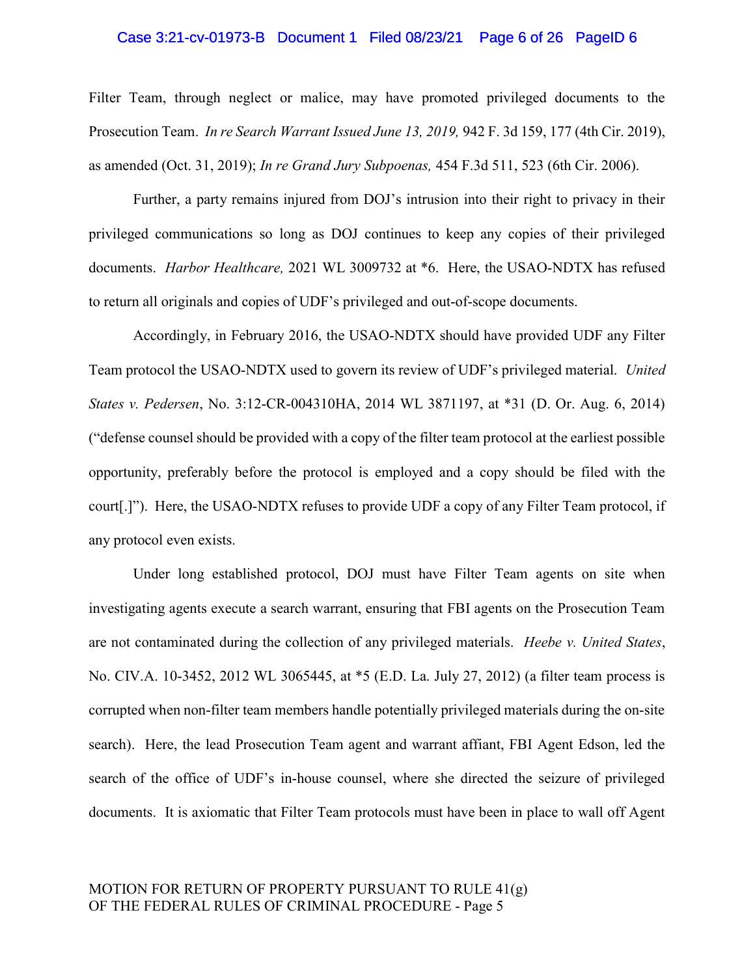## Case 3:21-cv-01973-B Document 1 Filed 08/23/21 Page 6 of 26 PageID 6

Filter Team, through neglect or malice, may have promoted privileged documents to the Prosecution Team. In re Search Warrant Issued June 13, 2019, 942 F. 3d 159, 177 (4th Cir. 2019), as amended (Oct. 31, 2019); In re Grand Jury Subpoenas, 454 F.3d 511, 523 (6th Cir. 2006).

Further, a party remains injured from DOJ's intrusion into their right to privacy in their privileged communications so long as DOJ continues to keep any copies of their privileged documents. Harbor Healthcare, 2021 WL 3009732 at \*6. Here, the USAO-NDTX has refused to return all originals and copies of UDF's privileged and out-of-scope documents.

Accordingly, in February 2016, the USAO-NDTX should have provided UDF any Filter Team protocol the USAO-NDTX used to govern its review of UDF's privileged material. United States v. Pedersen, No. 3:12-CR-004310HA, 2014 WL 3871197, at \*31 (D. Or. Aug. 6, 2014) ("defense counsel should be provided with a copy of the filter team protocol at the earliest possible opportunity, preferably before the protocol is employed and a copy should be filed with the court[.]"). Here, the USAO-NDTX refuses to provide UDF a copy of any Filter Team protocol, if any protocol even exists.

Under long established protocol, DOJ must have Filter Team agents on site when investigating agents execute a search warrant, ensuring that FBI agents on the Prosecution Team are not contaminated during the collection of any privileged materials. Heebe v. United States, No. CIV.A. 10-3452, 2012 WL 3065445, at \*5 (E.D. La. July 27, 2012) (a filter team process is corrupted when non-filter team members handle potentially privileged materials during the on-site search). Here, the lead Prosecution Team agent and warrant affiant, FBI Agent Edson, led the search of the office of UDF's in-house counsel, where she directed the seizure of privileged documents. It is axiomatic that Filter Team protocols must have been in place to wall off Agent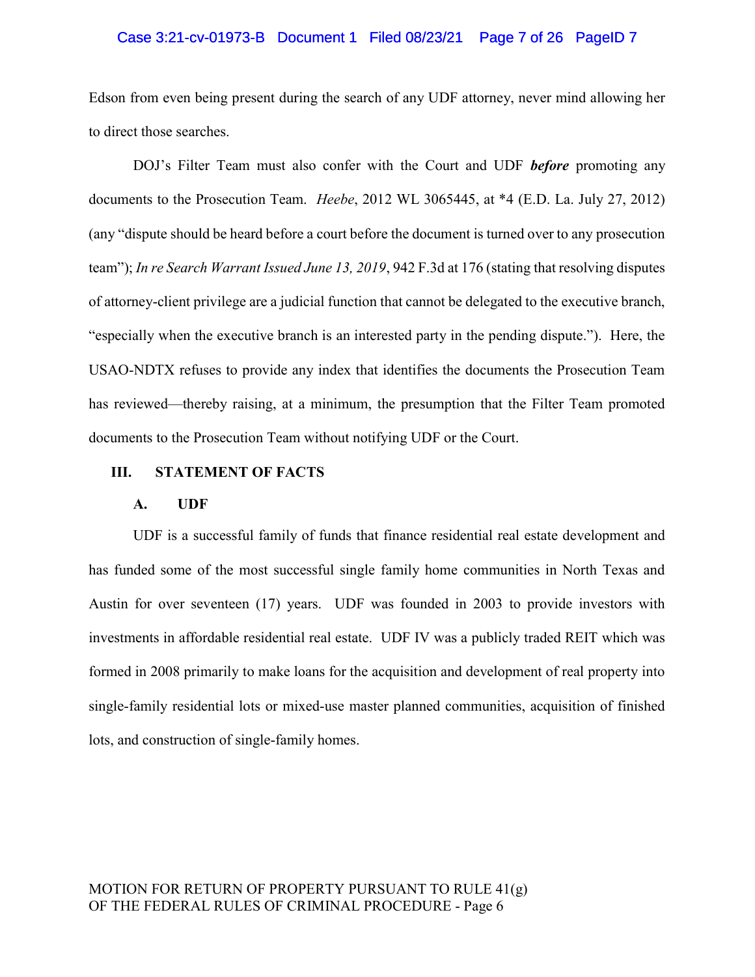## Case 3:21-cv-01973-B Document 1 Filed 08/23/21 Page 7 of 26 PageID 7

Edson from even being present during the search of any UDF attorney, never mind allowing her to direct those searches.

DOJ's Filter Team must also confer with the Court and UDF **before** promoting any documents to the Prosecution Team. Heebe, 2012 WL 3065445, at \*4 (E.D. La. July 27, 2012) (any "dispute should be heard before a court before the document is turned over to any prosecution team"); In re Search Warrant Issued June 13, 2019, 942 F.3d at 176 (stating that resolving disputes of attorney-client privilege are a judicial function that cannot be delegated to the executive branch, "especially when the executive branch is an interested party in the pending dispute."). Here, the USAO-NDTX refuses to provide any index that identifies the documents the Prosecution Team has reviewed—thereby raising, at a minimum, the presumption that the Filter Team promoted documents to the Prosecution Team without notifying UDF or the Court.

## III. STATEMENT OF FACTS

### A. UDF

UDF is a successful family of funds that finance residential real estate development and has funded some of the most successful single family home communities in North Texas and Austin for over seventeen (17) years. UDF was founded in 2003 to provide investors with investments in affordable residential real estate. UDF IV was a publicly traded REIT which was formed in 2008 primarily to make loans for the acquisition and development of real property into single-family residential lots or mixed-use master planned communities, acquisition of finished lots, and construction of single-family homes.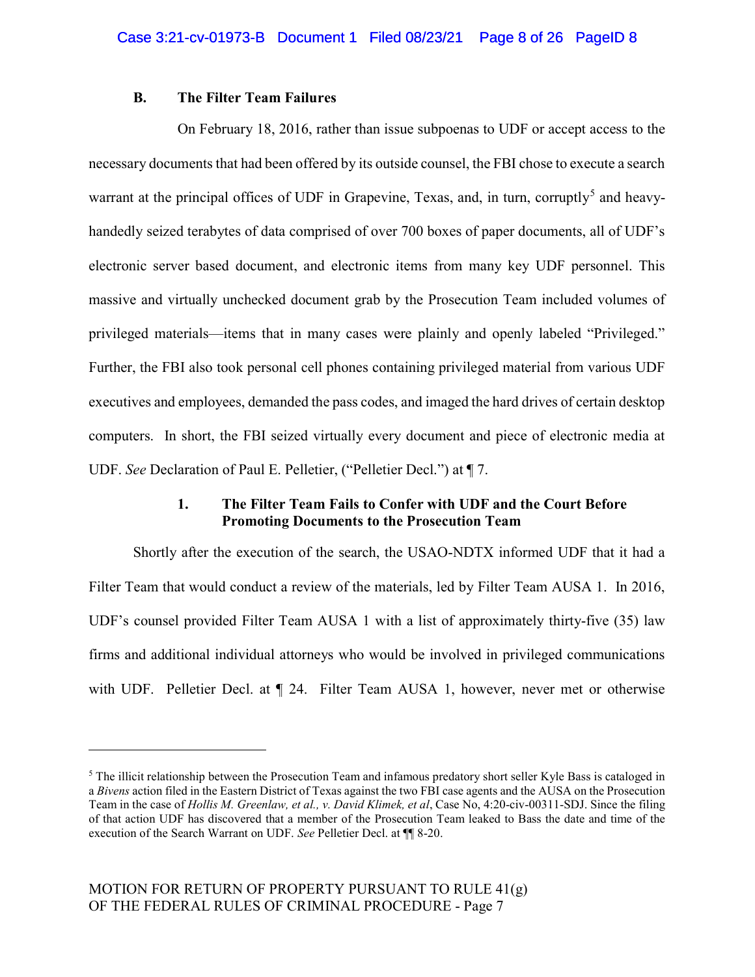## B. The Filter Team Failures

 On February 18, 2016, rather than issue subpoenas to UDF or accept access to the necessary documents that had been offered by its outside counsel, the FBI chose to execute a search warrant at the principal offices of UDF in Grapevine, Texas, and, in turn, corruptly<sup>5</sup> and heavyhandedly seized terabytes of data comprised of over 700 boxes of paper documents, all of UDF's electronic server based document, and electronic items from many key UDF personnel. This massive and virtually unchecked document grab by the Prosecution Team included volumes of privileged materials—items that in many cases were plainly and openly labeled "Privileged." Further, the FBI also took personal cell phones containing privileged material from various UDF executives and employees, demanded the pass codes, and imaged the hard drives of certain desktop computers. In short, the FBI seized virtually every document and piece of electronic media at UDF. See Declaration of Paul E. Pelletier, ("Pelletier Decl.") at ¶ 7.

# 1. The Filter Team Fails to Confer with UDF and the Court Before Promoting Documents to the Prosecution Team

Shortly after the execution of the search, the USAO-NDTX informed UDF that it had a Filter Team that would conduct a review of the materials, led by Filter Team AUSA 1. In 2016, UDF's counsel provided Filter Team AUSA 1 with a list of approximately thirty-five (35) law firms and additional individual attorneys who would be involved in privileged communications with UDF. Pelletier Decl. at  $\P$  24. Filter Team AUSA 1, however, never met or otherwise

<sup>&</sup>lt;sup>5</sup> The illicit relationship between the Prosecution Team and infamous predatory short seller Kyle Bass is cataloged in a Bivens action filed in the Eastern District of Texas against the two FBI case agents and the AUSA on the Prosecution Team in the case of Hollis M. Greenlaw, et al., v. David Klimek, et al, Case No, 4:20-civ-00311-SDJ. Since the filing of that action UDF has discovered that a member of the Prosecution Team leaked to Bass the date and time of the execution of the Search Warrant on UDF. See Pelletier Decl. at ¶¶ 8-20.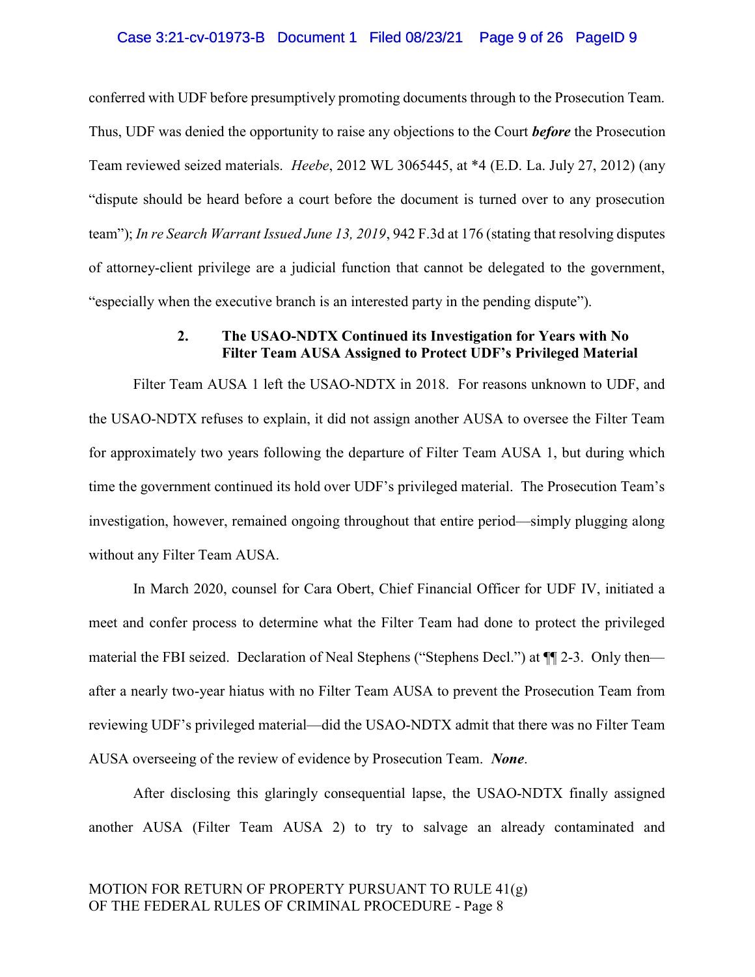### Case 3:21-cv-01973-B Document 1 Filed 08/23/21 Page 9 of 26 PageID 9

conferred with UDF before presumptively promoting documents through to the Prosecution Team. Thus, UDF was denied the opportunity to raise any objections to the Court **before** the Prosecution Team reviewed seized materials. Heebe, 2012 WL 3065445, at \*4 (E.D. La. July 27, 2012) (any "dispute should be heard before a court before the document is turned over to any prosecution team"); In re Search Warrant Issued June 13, 2019, 942 F.3d at 176 (stating that resolving disputes of attorney-client privilege are a judicial function that cannot be delegated to the government, "especially when the executive branch is an interested party in the pending dispute").

## 2. The USAO-NDTX Continued its Investigation for Years with No Filter Team AUSA Assigned to Protect UDF's Privileged Material

Filter Team AUSA 1 left the USAO-NDTX in 2018. For reasons unknown to UDF, and the USAO-NDTX refuses to explain, it did not assign another AUSA to oversee the Filter Team for approximately two years following the departure of Filter Team AUSA 1, but during which time the government continued its hold over UDF's privileged material. The Prosecution Team's investigation, however, remained ongoing throughout that entire period—simply plugging along without any Filter Team AUSA.

In March 2020, counsel for Cara Obert, Chief Financial Officer for UDF IV, initiated a meet and confer process to determine what the Filter Team had done to protect the privileged material the FBI seized. Declaration of Neal Stephens ("Stephens Decl.") at ¶¶ 2-3. Only then after a nearly two-year hiatus with no Filter Team AUSA to prevent the Prosecution Team from reviewing UDF's privileged material—did the USAO-NDTX admit that there was no Filter Team AUSA overseeing of the review of evidence by Prosecution Team. None.

After disclosing this glaringly consequential lapse, the USAO-NDTX finally assigned another AUSA (Filter Team AUSA 2) to try to salvage an already contaminated and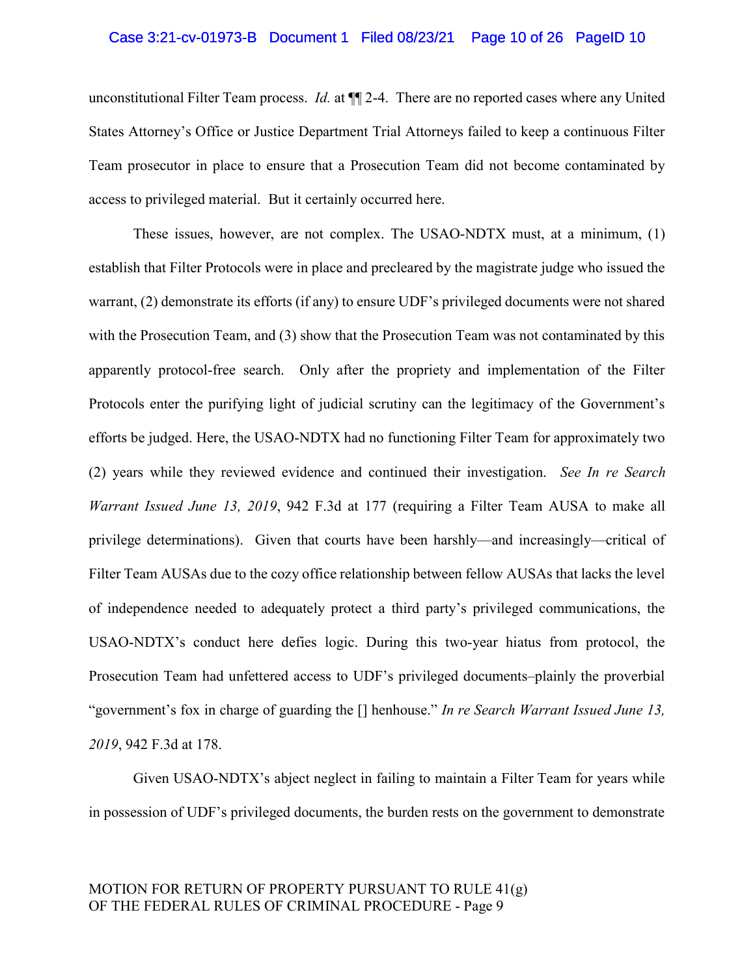## Case 3:21-cv-01973-B Document 1 Filed 08/23/21 Page 10 of 26 PageID 10

unconstitutional Filter Team process. *Id.* at  $\P$  2-4. There are no reported cases where any United States Attorney's Office or Justice Department Trial Attorneys failed to keep a continuous Filter Team prosecutor in place to ensure that a Prosecution Team did not become contaminated by access to privileged material. But it certainly occurred here.

These issues, however, are not complex. The USAO-NDTX must, at a minimum, (1) establish that Filter Protocols were in place and precleared by the magistrate judge who issued the warrant, (2) demonstrate its efforts (if any) to ensure UDF's privileged documents were not shared with the Prosecution Team, and (3) show that the Prosecution Team was not contaminated by this apparently protocol-free search. Only after the propriety and implementation of the Filter Protocols enter the purifying light of judicial scrutiny can the legitimacy of the Government's efforts be judged. Here, the USAO-NDTX had no functioning Filter Team for approximately two (2) years while they reviewed evidence and continued their investigation. See In re Search Warrant Issued June 13, 2019, 942 F.3d at 177 (requiring a Filter Team AUSA to make all privilege determinations). Given that courts have been harshly—and increasingly—critical of Filter Team AUSAs due to the cozy office relationship between fellow AUSAs that lacks the level of independence needed to adequately protect a third party's privileged communications, the USAO-NDTX's conduct here defies logic. During this two-year hiatus from protocol, the Prosecution Team had unfettered access to UDF's privileged documents–plainly the proverbial "government's fox in charge of guarding the [] henhouse." In re Search Warrant Issued June 13, 2019, 942 F.3d at 178.

Given USAO-NDTX's abject neglect in failing to maintain a Filter Team for years while in possession of UDF's privileged documents, the burden rests on the government to demonstrate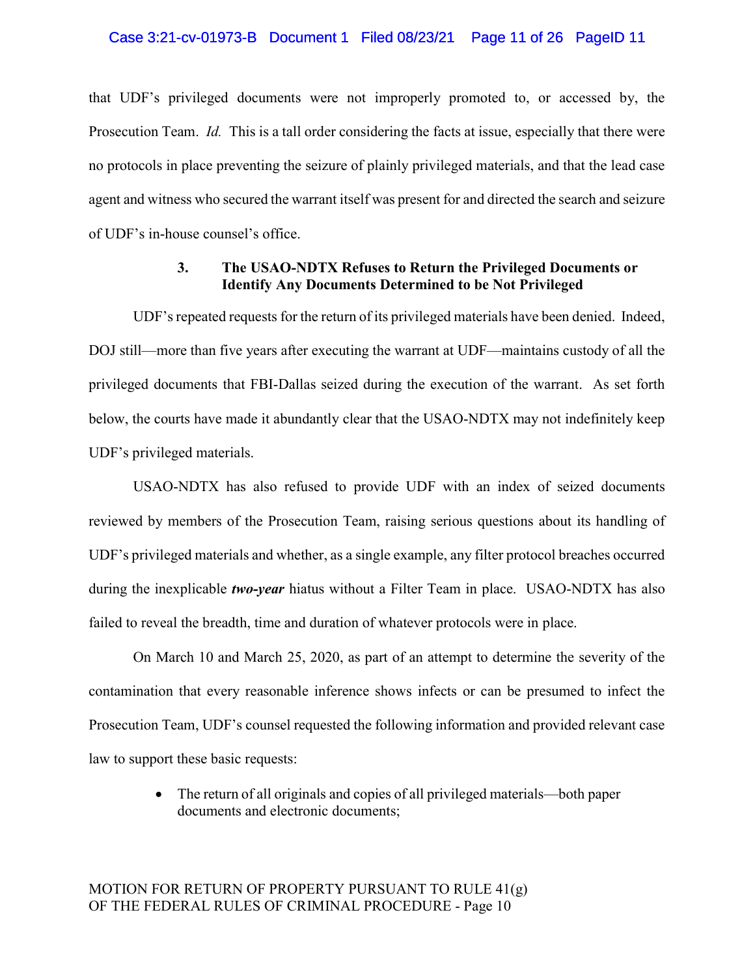that UDF's privileged documents were not improperly promoted to, or accessed by, the Prosecution Team. *Id.* This is a tall order considering the facts at issue, especially that there were no protocols in place preventing the seizure of plainly privileged materials, and that the lead case agent and witness who secured the warrant itself was present for and directed the search and seizure of UDF's in-house counsel's office.

## 3. The USAO-NDTX Refuses to Return the Privileged Documents or Identify Any Documents Determined to be Not Privileged

UDF's repeated requests for the return of its privileged materials have been denied. Indeed, DOJ still—more than five years after executing the warrant at UDF—maintains custody of all the privileged documents that FBI-Dallas seized during the execution of the warrant. As set forth below, the courts have made it abundantly clear that the USAO-NDTX may not indefinitely keep UDF's privileged materials.

USAO-NDTX has also refused to provide UDF with an index of seized documents reviewed by members of the Prosecution Team, raising serious questions about its handling of UDF's privileged materials and whether, as a single example, any filter protocol breaches occurred during the inexplicable *two-year* hiatus without a Filter Team in place. USAO-NDTX has also failed to reveal the breadth, time and duration of whatever protocols were in place.

On March 10 and March 25, 2020, as part of an attempt to determine the severity of the contamination that every reasonable inference shows infects or can be presumed to infect the Prosecution Team, UDF's counsel requested the following information and provided relevant case law to support these basic requests:

> The return of all originals and copies of all privileged materials—both paper documents and electronic documents;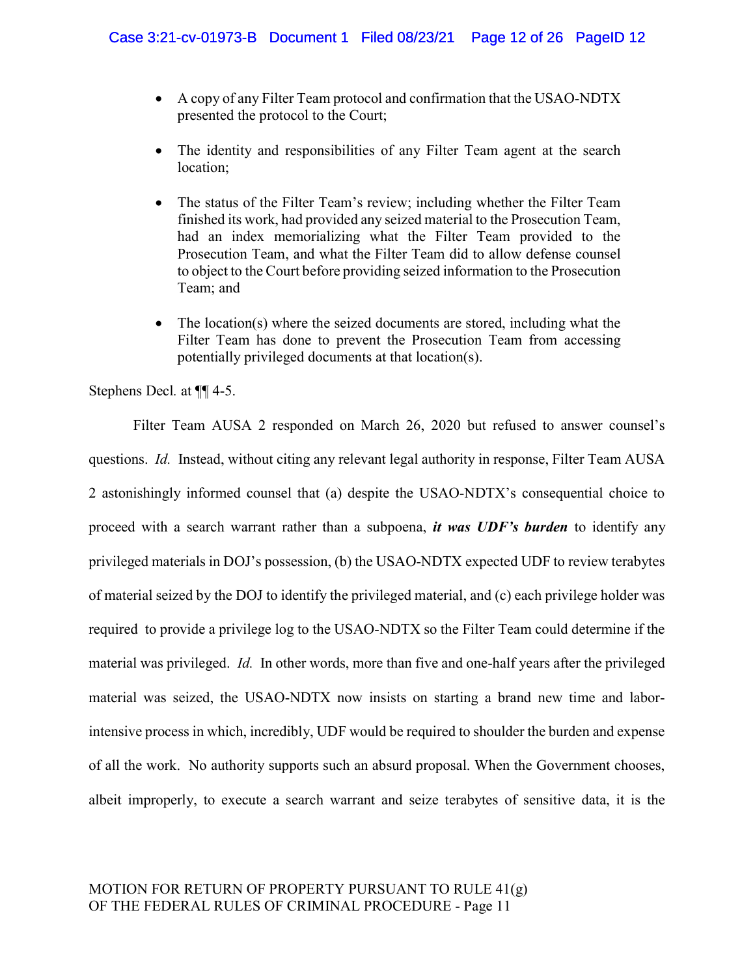- A copy of any Filter Team protocol and confirmation that the USAO-NDTX presented the protocol to the Court;
- The identity and responsibilities of any Filter Team agent at the search location;
- The status of the Filter Team's review; including whether the Filter Team finished its work, had provided any seized material to the Prosecution Team, had an index memorializing what the Filter Team provided to the Prosecution Team, and what the Filter Team did to allow defense counsel to object to the Court before providing seized information to the Prosecution Team; and
- The location(s) where the seized documents are stored, including what the Filter Team has done to prevent the Prosecution Team from accessing potentially privileged documents at that location(s).

Stephens Decl. at ¶¶ 4-5.

Filter Team AUSA 2 responded on March 26, 2020 but refused to answer counsel's questions. *Id.* Instead, without citing any relevant legal authority in response, Filter Team AUSA 2 astonishingly informed counsel that (a) despite the USAO-NDTX's consequential choice to proceed with a search warrant rather than a subpoena, *it was UDF's burden* to identify any privileged materials in DOJ's possession, (b) the USAO-NDTX expected UDF to review terabytes of material seized by the DOJ to identify the privileged material, and (c) each privilege holder was required to provide a privilege log to the USAO-NDTX so the Filter Team could determine if the material was privileged. Id. In other words, more than five and one-half years after the privileged material was seized, the USAO-NDTX now insists on starting a brand new time and laborintensive process in which, incredibly, UDF would be required to shoulder the burden and expense of all the work. No authority supports such an absurd proposal. When the Government chooses, albeit improperly, to execute a search warrant and seize terabytes of sensitive data, it is the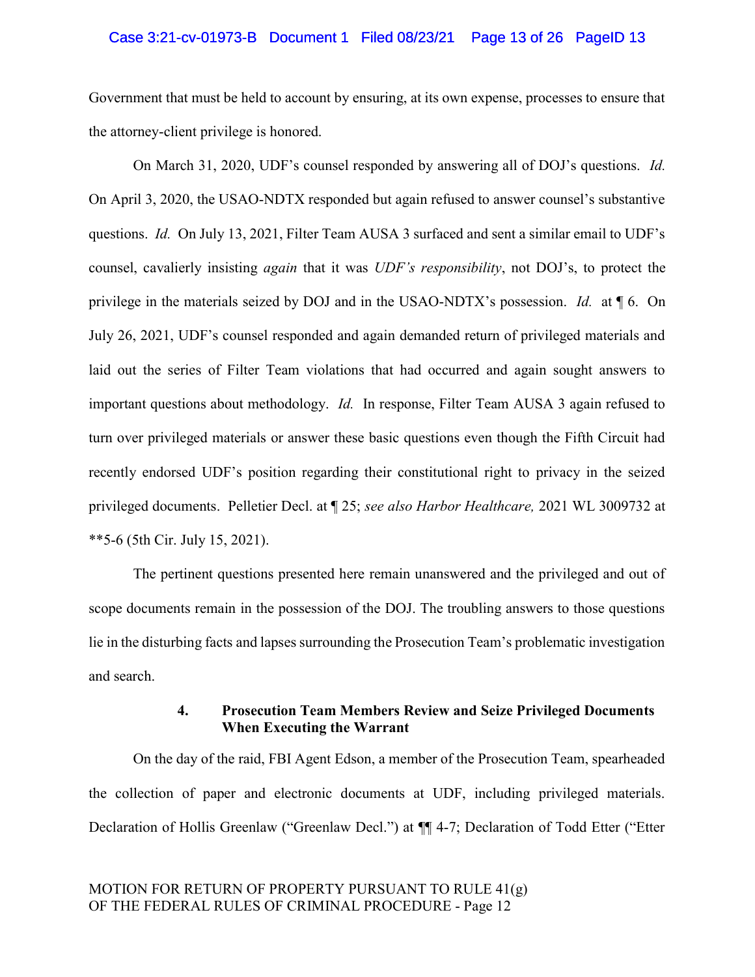## Case 3:21-cv-01973-B Document 1 Filed 08/23/21 Page 13 of 26 PageID 13

Government that must be held to account by ensuring, at its own expense, processes to ensure that the attorney-client privilege is honored.

On March 31, 2020, UDF's counsel responded by answering all of DOJ's questions. Id. On April 3, 2020, the USAO-NDTX responded but again refused to answer counsel's substantive questions. Id. On July 13, 2021, Filter Team AUSA 3 surfaced and sent a similar email to UDF's counsel, cavalierly insisting again that it was UDF's responsibility, not DOJ's, to protect the privilege in the materials seized by DOJ and in the USAO-NDTX's possession. Id. at ¶ 6. On July 26, 2021, UDF's counsel responded and again demanded return of privileged materials and laid out the series of Filter Team violations that had occurred and again sought answers to important questions about methodology. Id. In response, Filter Team AUSA 3 again refused to turn over privileged materials or answer these basic questions even though the Fifth Circuit had recently endorsed UDF's position regarding their constitutional right to privacy in the seized privileged documents. Pelletier Decl. at  $\parallel$  25; see also Harbor Healthcare, 2021 WL 3009732 at \*\*5-6 (5th Cir. July 15, 2021).

The pertinent questions presented here remain unanswered and the privileged and out of scope documents remain in the possession of the DOJ. The troubling answers to those questions lie in the disturbing facts and lapses surrounding the Prosecution Team's problematic investigation and search.

# 4. Prosecution Team Members Review and Seize Privileged Documents When Executing the Warrant

On the day of the raid, FBI Agent Edson, a member of the Prosecution Team, spearheaded the collection of paper and electronic documents at UDF, including privileged materials. Declaration of Hollis Greenlaw ("Greenlaw Decl.") at ¶¶ 4-7; Declaration of Todd Etter ("Etter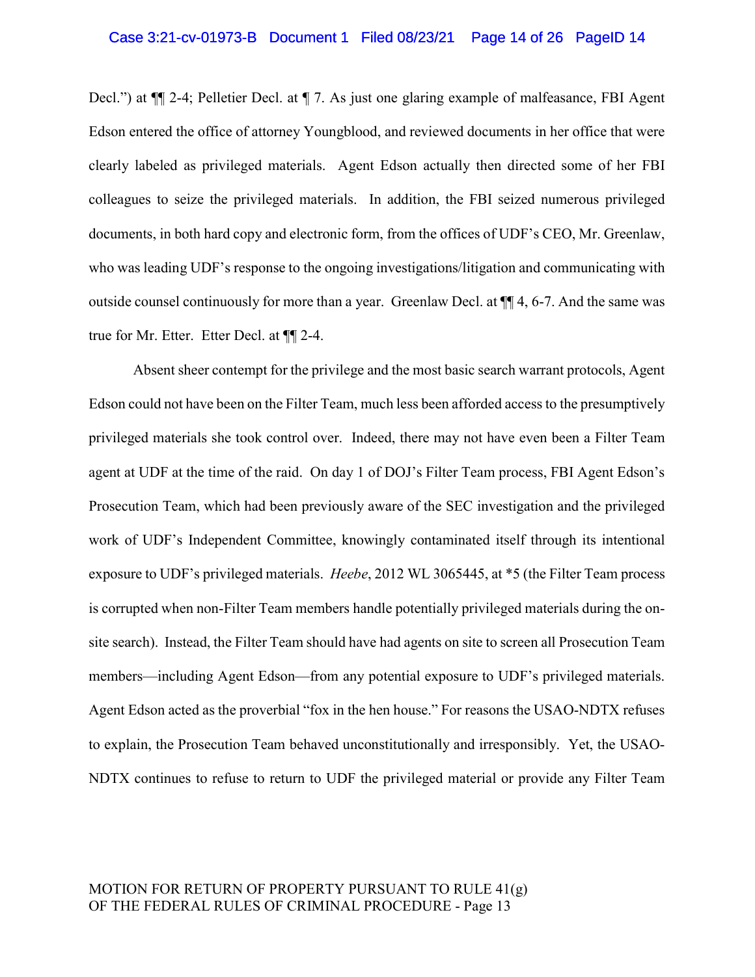## Case 3:21-cv-01973-B Document 1 Filed 08/23/21 Page 14 of 26 PageID 14

Decl.") at ¶¶ 2-4; Pelletier Decl. at ¶ 7. As just one glaring example of malfeasance, FBI Agent Edson entered the office of attorney Youngblood, and reviewed documents in her office that were clearly labeled as privileged materials. Agent Edson actually then directed some of her FBI colleagues to seize the privileged materials. In addition, the FBI seized numerous privileged documents, in both hard copy and electronic form, from the offices of UDF's CEO, Mr. Greenlaw, who was leading UDF's response to the ongoing investigations/litigation and communicating with outside counsel continuously for more than a year. Greenlaw Decl. at ¶¶ 4, 6-7. And the same was true for Mr. Etter. Etter Decl. at ¶¶ 2-4.

Absent sheer contempt for the privilege and the most basic search warrant protocols, Agent Edson could not have been on the Filter Team, much less been afforded access to the presumptively privileged materials she took control over. Indeed, there may not have even been a Filter Team agent at UDF at the time of the raid. On day 1 of DOJ's Filter Team process, FBI Agent Edson's Prosecution Team, which had been previously aware of the SEC investigation and the privileged work of UDF's Independent Committee, knowingly contaminated itself through its intentional exposure to UDF's privileged materials. Heebe, 2012 WL 3065445, at \*5 (the Filter Team process is corrupted when non-Filter Team members handle potentially privileged materials during the onsite search). Instead, the Filter Team should have had agents on site to screen all Prosecution Team members—including Agent Edson—from any potential exposure to UDF's privileged materials. Agent Edson acted as the proverbial "fox in the hen house." For reasons the USAO-NDTX refuses to explain, the Prosecution Team behaved unconstitutionally and irresponsibly. Yet, the USAO-NDTX continues to refuse to return to UDF the privileged material or provide any Filter Team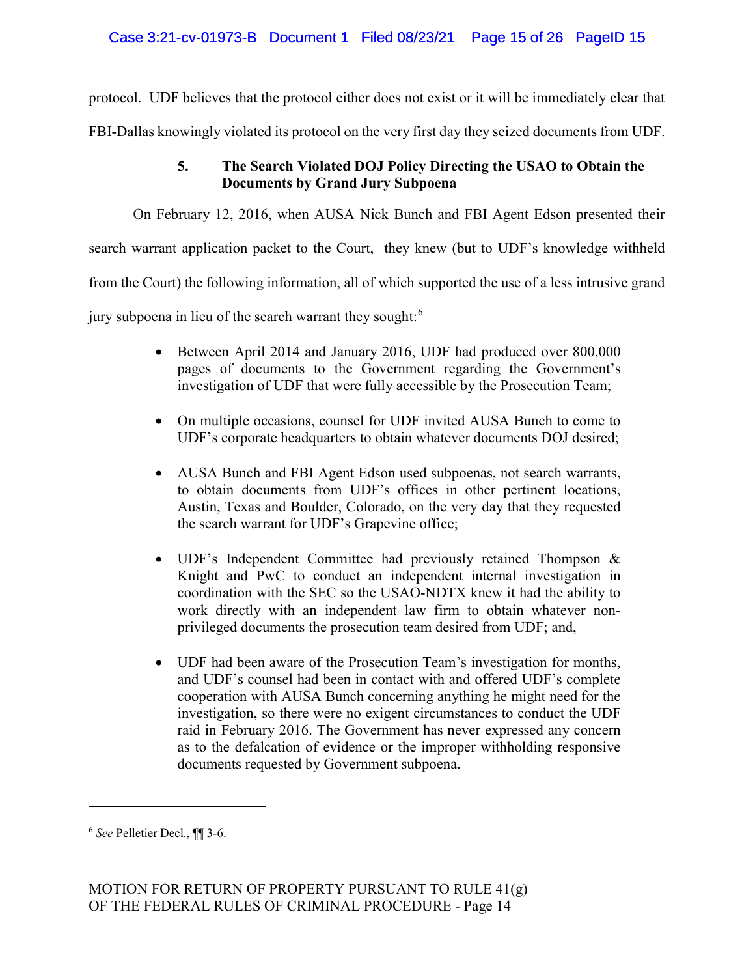protocol. UDF believes that the protocol either does not exist or it will be immediately clear that

FBI-Dallas knowingly violated its protocol on the very first day they seized documents from UDF.

# 5. The Search Violated DOJ Policy Directing the USAO to Obtain the Documents by Grand Jury Subpoena

On February 12, 2016, when AUSA Nick Bunch and FBI Agent Edson presented their

search warrant application packet to the Court, they knew (but to UDF's knowledge withheld

from the Court) the following information, all of which supported the use of a less intrusive grand

jury subpoena in lieu of the search warrant they sought:<sup>6</sup>

- Between April 2014 and January 2016, UDF had produced over 800,000 pages of documents to the Government regarding the Government's investigation of UDF that were fully accessible by the Prosecution Team;
- On multiple occasions, counsel for UDF invited AUSA Bunch to come to UDF's corporate headquarters to obtain whatever documents DOJ desired;
- AUSA Bunch and FBI Agent Edson used subpoenas, not search warrants, to obtain documents from UDF's offices in other pertinent locations, Austin, Texas and Boulder, Colorado, on the very day that they requested the search warrant for UDF's Grapevine office;
- UDF's Independent Committee had previously retained Thompson & Knight and PwC to conduct an independent internal investigation in coordination with the SEC so the USAO-NDTX knew it had the ability to work directly with an independent law firm to obtain whatever nonprivileged documents the prosecution team desired from UDF; and,
- UDF had been aware of the Prosecution Team's investigation for months, and UDF's counsel had been in contact with and offered UDF's complete cooperation with AUSA Bunch concerning anything he might need for the investigation, so there were no exigent circumstances to conduct the UDF raid in February 2016. The Government has never expressed any concern as to the defalcation of evidence or the improper withholding responsive documents requested by Government subpoena.

<sup>6</sup> See Pelletier Decl., ¶¶ 3-6.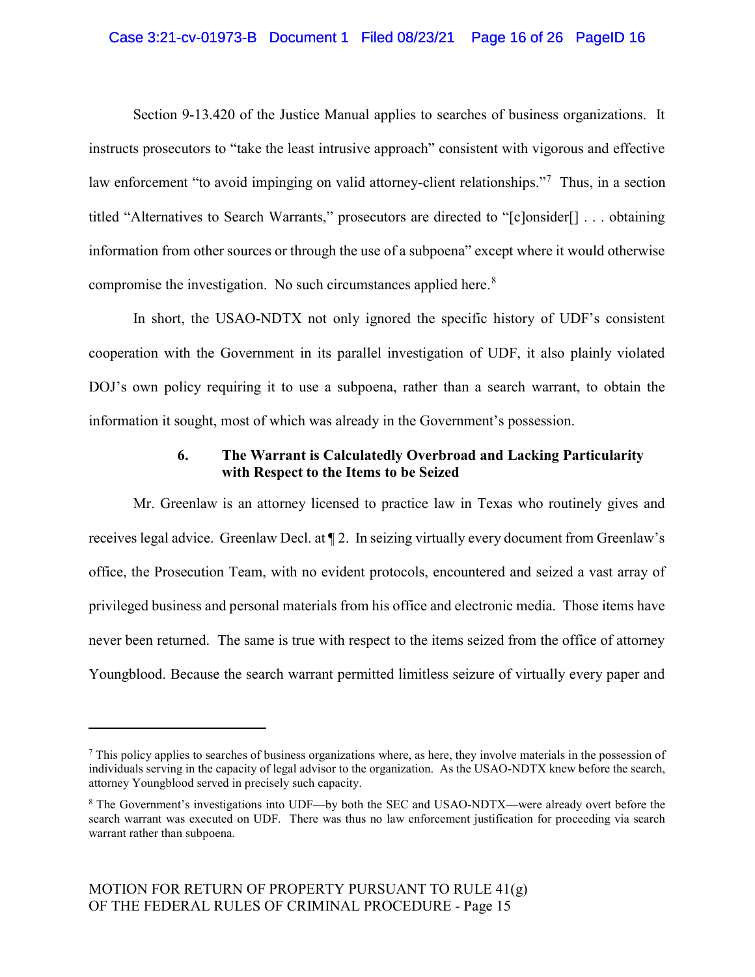# Case 3:21-cv-01973-B Document 1 Filed 08/23/21 Page 16 of 26 PageID 16

Section 9-13.420 of the Justice Manual applies to searches of business organizations. It instructs prosecutors to "take the least intrusive approach" consistent with vigorous and effective law enforcement "to avoid impinging on valid attorney-client relationships."<sup>7</sup> Thus, in a section titled "Alternatives to Search Warrants," prosecutors are directed to "[c]onsider[] . . . obtaining information from other sources or through the use of a subpoena" except where it would otherwise compromise the investigation. No such circumstances applied here. $8$ 

In short, the USAO-NDTX not only ignored the specific history of UDF's consistent cooperation with the Government in its parallel investigation of UDF, it also plainly violated DOJ's own policy requiring it to use a subpoena, rather than a search warrant, to obtain the information it sought, most of which was already in the Government's possession.

# 6. The Warrant is Calculatedly Overbroad and Lacking Particularity with Respect to the Items to be Seized

Mr. Greenlaw is an attorney licensed to practice law in Texas who routinely gives and receives legal advice. Greenlaw Decl. at ¶ 2. In seizing virtually every document from Greenlaw's office, the Prosecution Team, with no evident protocols, encountered and seized a vast array of privileged business and personal materials from his office and electronic media. Those items have never been returned. The same is true with respect to the items seized from the office of attorney Youngblood. Because the search warrant permitted limitless seizure of virtually every paper and

 $<sup>7</sup>$  This policy applies to searches of business organizations where, as here, they involve materials in the possession of</sup> individuals serving in the capacity of legal advisor to the organization. As the USAO-NDTX knew before the search, attorney Youngblood served in precisely such capacity.

<sup>8</sup> The Government's investigations into UDF—by both the SEC and USAO-NDTX—were already overt before the search warrant was executed on UDF. There was thus no law enforcement justification for proceeding via search warrant rather than subpoena.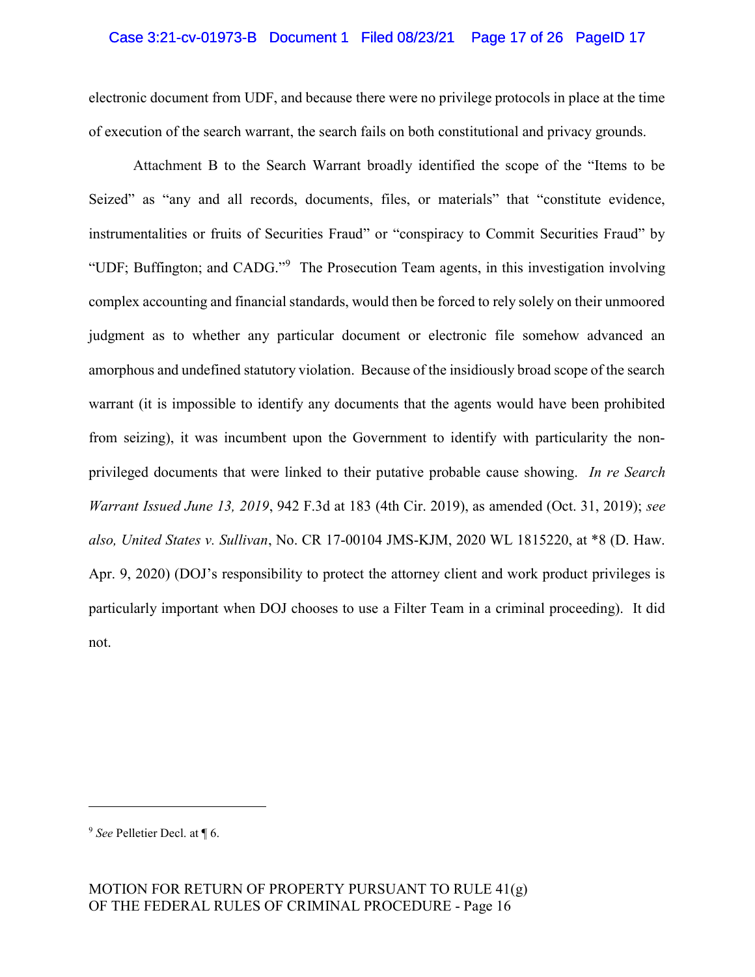## Case 3:21-cv-01973-B Document 1 Filed 08/23/21 Page 17 of 26 PageID 17

electronic document from UDF, and because there were no privilege protocols in place at the time of execution of the search warrant, the search fails on both constitutional and privacy grounds.

Attachment B to the Search Warrant broadly identified the scope of the "Items to be Seized" as "any and all records, documents, files, or materials" that "constitute evidence, instrumentalities or fruits of Securities Fraud" or "conspiracy to Commit Securities Fraud" by "UDF; Buffington; and CADG."<sup>9</sup> The Prosecution Team agents, in this investigation involving complex accounting and financial standards, would then be forced to rely solely on their unmoored judgment as to whether any particular document or electronic file somehow advanced an amorphous and undefined statutory violation. Because of the insidiously broad scope of the search warrant (it is impossible to identify any documents that the agents would have been prohibited from seizing), it was incumbent upon the Government to identify with particularity the nonprivileged documents that were linked to their putative probable cause showing. In re Search Warrant Issued June 13, 2019, 942 F.3d at 183 (4th Cir. 2019), as amended (Oct. 31, 2019); see also, United States v. Sullivan, No. CR 17-00104 JMS-KJM, 2020 WL 1815220, at \*8 (D. Haw. Apr. 9, 2020) (DOJ's responsibility to protect the attorney client and work product privileges is particularly important when DOJ chooses to use a Filter Team in a criminal proceeding). It did not.

<sup>&</sup>lt;sup>9</sup> See Pelletier Decl. at ¶ 6.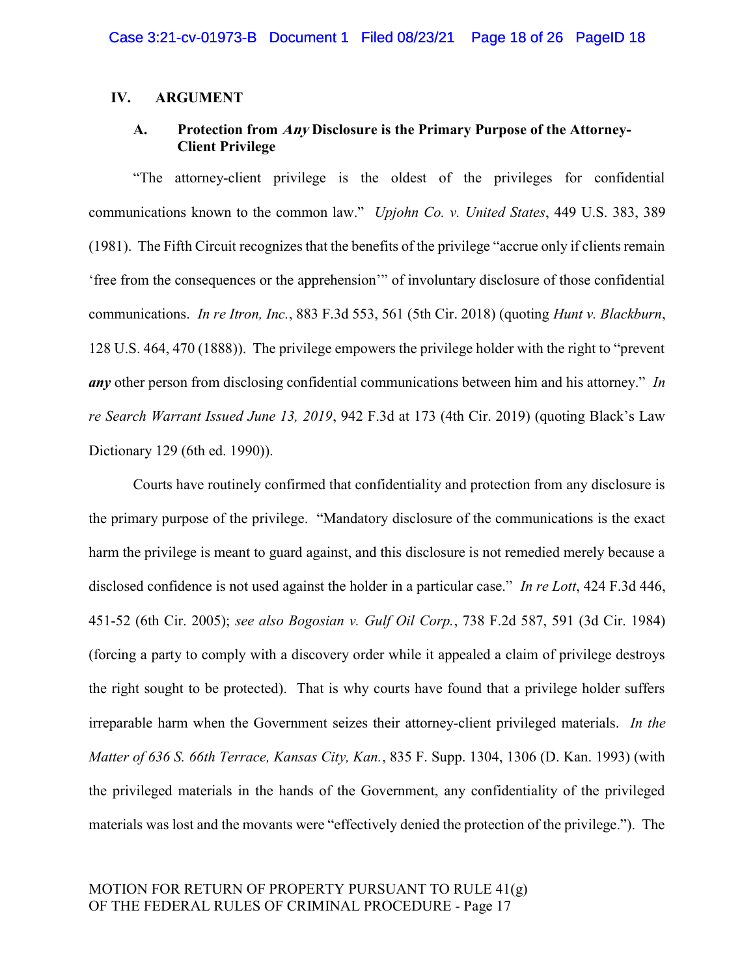# IV. ARGUMENT

# A. Protection from Any Disclosure is the Primary Purpose of the Attorney-Client Privilege

"The attorney-client privilege is the oldest of the privileges for confidential communications known to the common law." Upjohn Co. v. United States, 449 U.S. 383, 389 (1981). The Fifth Circuit recognizes that the benefits of the privilege "accrue only if clients remain 'free from the consequences or the apprehension'" of involuntary disclosure of those confidential communications. In re Itron, Inc., 883 F.3d 553, 561 (5th Cir. 2018) (quoting Hunt v. Blackburn, 128 U.S. 464, 470 (1888)). The privilege empowers the privilege holder with the right to "prevent any other person from disclosing confidential communications between him and his attorney." In re Search Warrant Issued June 13, 2019, 942 F.3d at 173 (4th Cir. 2019) (quoting Black's Law Dictionary 129 (6th ed. 1990)).

Courts have routinely confirmed that confidentiality and protection from any disclosure is the primary purpose of the privilege. "Mandatory disclosure of the communications is the exact harm the privilege is meant to guard against, and this disclosure is not remedied merely because a disclosed confidence is not used against the holder in a particular case." In re Lott, 424 F.3d 446, 451-52 (6th Cir. 2005); see also Bogosian v. Gulf Oil Corp., 738 F.2d 587, 591 (3d Cir. 1984) (forcing a party to comply with a discovery order while it appealed a claim of privilege destroys the right sought to be protected). That is why courts have found that a privilege holder suffers irreparable harm when the Government seizes their attorney-client privileged materials. In the Matter of 636 S. 66th Terrace, Kansas City, Kan., 835 F. Supp. 1304, 1306 (D. Kan. 1993) (with the privileged materials in the hands of the Government, any confidentiality of the privileged materials was lost and the movants were "effectively denied the protection of the privilege."). The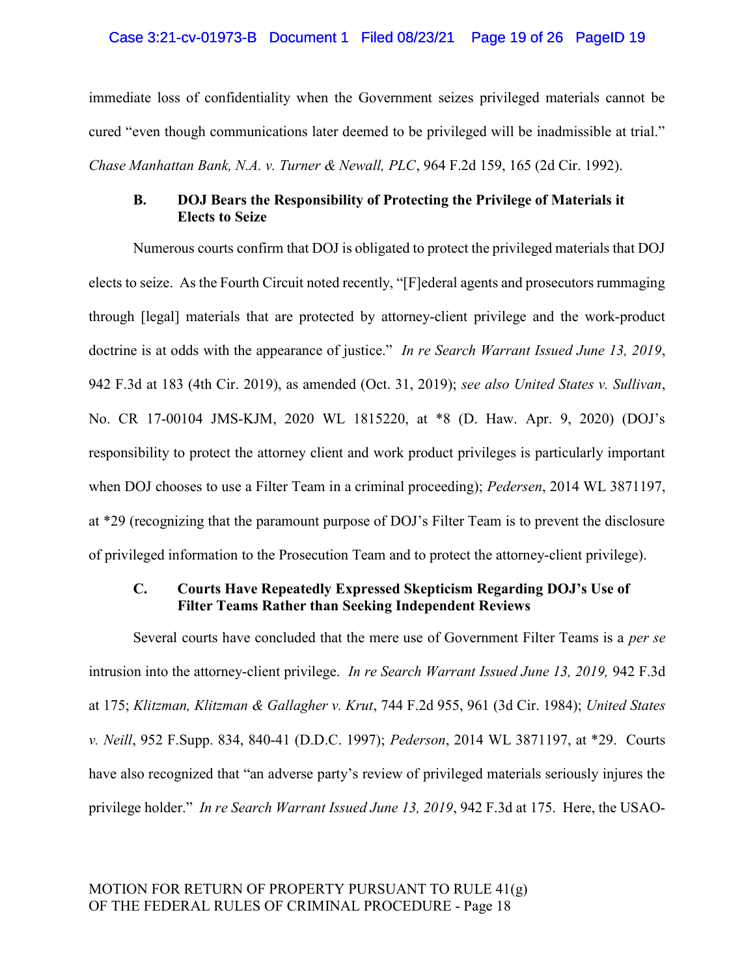immediate loss of confidentiality when the Government seizes privileged materials cannot be cured "even though communications later deemed to be privileged will be inadmissible at trial." Chase Manhattan Bank, N.A. v. Turner & Newall, PLC, 964 F.2d 159, 165 (2d Cir. 1992).

# B. DOJ Bears the Responsibility of Protecting the Privilege of Materials it Elects to Seize

Numerous courts confirm that DOJ is obligated to protect the privileged materials that DOJ elects to seize. As the Fourth Circuit noted recently, "[F]ederal agents and prosecutors rummaging through [legal] materials that are protected by attorney-client privilege and the work-product doctrine is at odds with the appearance of justice." In re Search Warrant Issued June 13, 2019, 942 F.3d at 183 (4th Cir. 2019), as amended (Oct. 31, 2019); see also United States v. Sullivan, No. CR 17-00104 JMS-KJM, 2020 WL 1815220, at \*8 (D. Haw. Apr. 9, 2020) (DOJ's responsibility to protect the attorney client and work product privileges is particularly important when DOJ chooses to use a Filter Team in a criminal proceeding); Pedersen, 2014 WL 3871197, at \*29 (recognizing that the paramount purpose of DOJ's Filter Team is to prevent the disclosure of privileged information to the Prosecution Team and to protect the attorney-client privilege).

# C. Courts Have Repeatedly Expressed Skepticism Regarding DOJ's Use of Filter Teams Rather than Seeking Independent Reviews

Several courts have concluded that the mere use of Government Filter Teams is a *per se* intrusion into the attorney-client privilege. In re Search Warrant Issued June 13, 2019, 942 F.3d at 175; Klitzman, Klitzman & Gallagher v. Krut, 744 F.2d 955, 961 (3d Cir. 1984); United States v. Neill, 952 F.Supp. 834, 840-41 (D.D.C. 1997); Pederson, 2014 WL 3871197, at \*29. Courts have also recognized that "an adverse party's review of privileged materials seriously injures the privilege holder." In re Search Warrant Issued June 13, 2019, 942 F.3d at 175. Here, the USAO-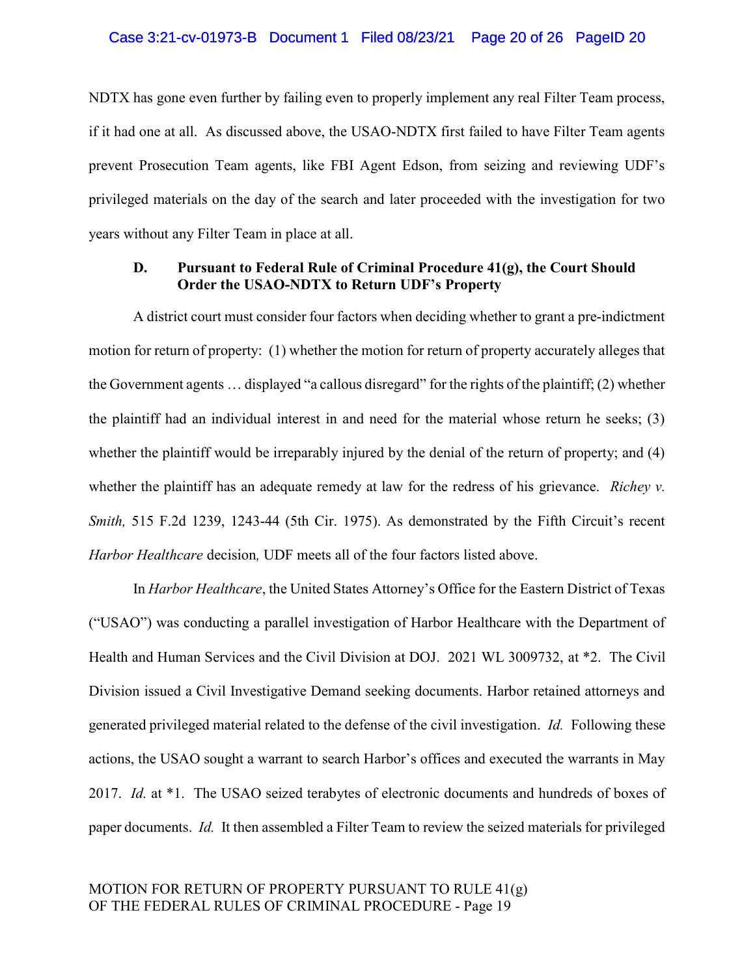#### Case 3:21-cv-01973-B Document 1 Filed 08/23/21 Page 20 of 26 PageID 20

NDTX has gone even further by failing even to properly implement any real Filter Team process, if it had one at all. As discussed above, the USAO-NDTX first failed to have Filter Team agents prevent Prosecution Team agents, like FBI Agent Edson, from seizing and reviewing UDF's privileged materials on the day of the search and later proceeded with the investigation for two years without any Filter Team in place at all.

# D. Pursuant to Federal Rule of Criminal Procedure 41(g), the Court Should Order the USAO-NDTX to Return UDF's Property

A district court must consider four factors when deciding whether to grant a pre-indictment motion for return of property: (1) whether the motion for return of property accurately alleges that the Government agents … displayed "a callous disregard" for the rights of the plaintiff; (2) whether the plaintiff had an individual interest in and need for the material whose return he seeks; (3) whether the plaintiff would be irreparably injured by the denial of the return of property; and (4) whether the plaintiff has an adequate remedy at law for the redress of his grievance. *Richey v.* Smith, 515 F.2d 1239, 1243-44 (5th Cir. 1975). As demonstrated by the Fifth Circuit's recent Harbor Healthcare decision, UDF meets all of the four factors listed above.

In *Harbor Healthcare*, the United States Attorney's Office for the Eastern District of Texas ("USAO") was conducting a parallel investigation of Harbor Healthcare with the Department of Health and Human Services and the Civil Division at DOJ. 2021 WL 3009732, at \*2. The Civil Division issued a Civil Investigative Demand seeking documents. Harbor retained attorneys and generated privileged material related to the defense of the civil investigation. Id. Following these actions, the USAO sought a warrant to search Harbor's offices and executed the warrants in May 2017. Id. at \*1. The USAO seized terabytes of electronic documents and hundreds of boxes of paper documents. Id. It then assembled a Filter Team to review the seized materials for privileged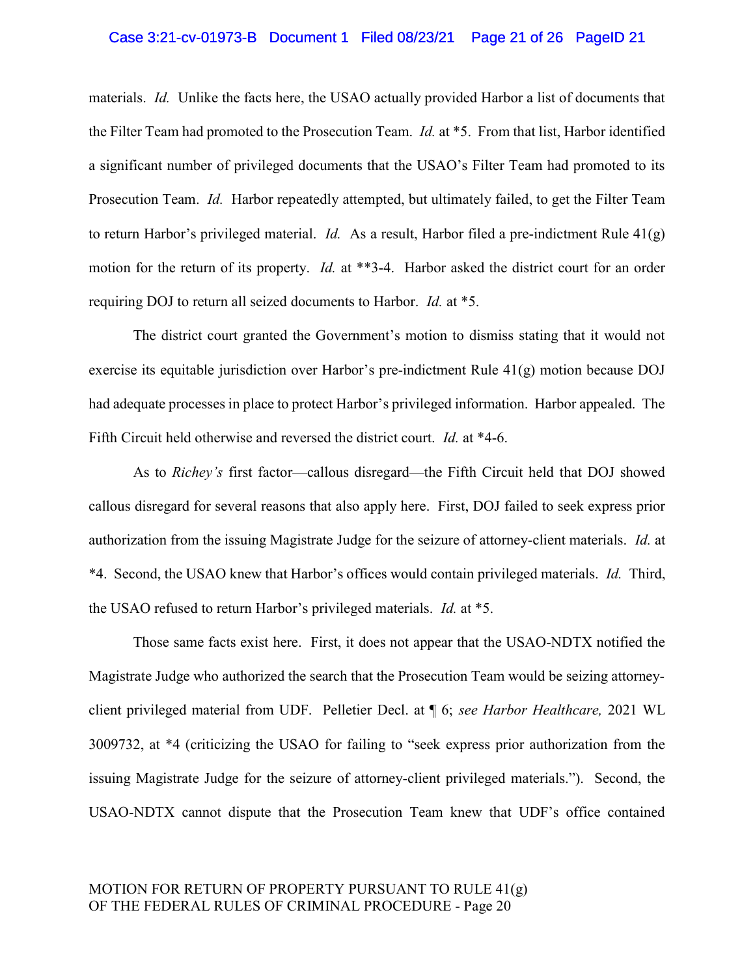## Case 3:21-cv-01973-B Document 1 Filed 08/23/21 Page 21 of 26 PageID 21

materials. Id. Unlike the facts here, the USAO actually provided Harbor a list of documents that the Filter Team had promoted to the Prosecution Team. Id. at \*5. From that list, Harbor identified a significant number of privileged documents that the USAO's Filter Team had promoted to its Prosecution Team. Id. Harbor repeatedly attempted, but ultimately failed, to get the Filter Team to return Harbor's privileged material. *Id.* As a result, Harbor filed a pre-indictment Rule  $41(g)$ motion for the return of its property. *Id.* at \*\*3-4. Harbor asked the district court for an order requiring DOJ to return all seized documents to Harbor. Id. at \*5.

The district court granted the Government's motion to dismiss stating that it would not exercise its equitable jurisdiction over Harbor's pre-indictment Rule 41(g) motion because DOJ had adequate processes in place to protect Harbor's privileged information. Harbor appealed. The Fifth Circuit held otherwise and reversed the district court. Id. at \*4-6.

As to Richey's first factor—callous disregard—the Fifth Circuit held that DOJ showed callous disregard for several reasons that also apply here. First, DOJ failed to seek express prior authorization from the issuing Magistrate Judge for the seizure of attorney-client materials. Id. at \*4. Second, the USAO knew that Harbor's offices would contain privileged materials. Id. Third, the USAO refused to return Harbor's privileged materials. Id. at \*5.

Those same facts exist here. First, it does not appear that the USAO-NDTX notified the Magistrate Judge who authorized the search that the Prosecution Team would be seizing attorneyclient privileged material from UDF. Pelletier Decl. at ¶ 6; see Harbor Healthcare, 2021 WL 3009732, at \*4 (criticizing the USAO for failing to "seek express prior authorization from the issuing Magistrate Judge for the seizure of attorney-client privileged materials."). Second, the USAO-NDTX cannot dispute that the Prosecution Team knew that UDF's office contained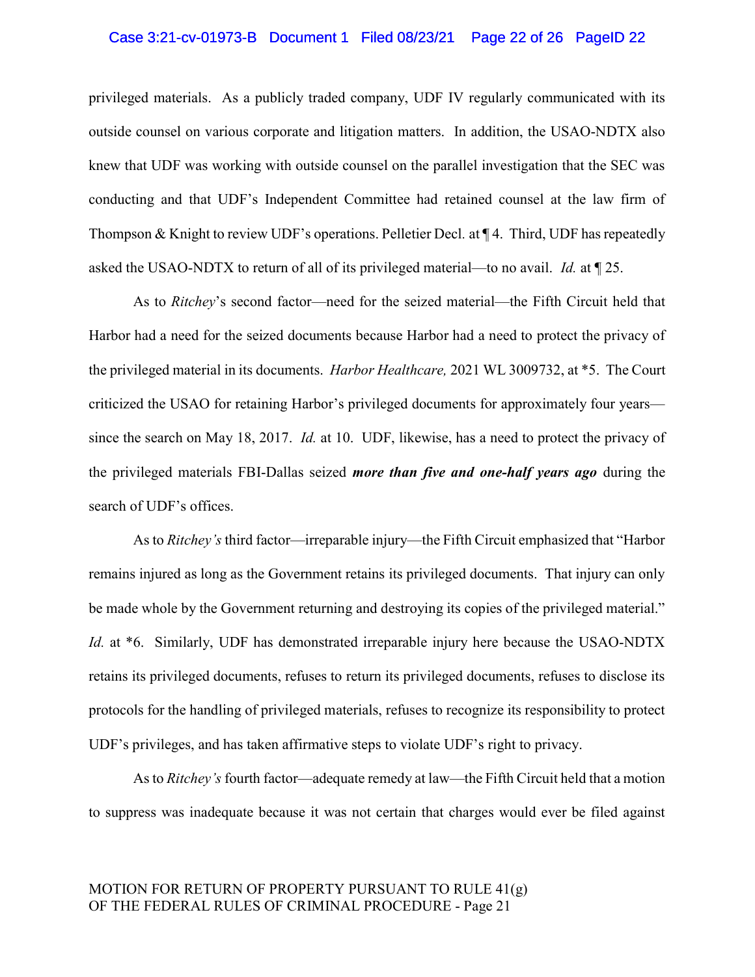## Case 3:21-cv-01973-B Document 1 Filed 08/23/21 Page 22 of 26 PageID 22

privileged materials. As a publicly traded company, UDF IV regularly communicated with its outside counsel on various corporate and litigation matters. In addition, the USAO-NDTX also knew that UDF was working with outside counsel on the parallel investigation that the SEC was conducting and that UDF's Independent Committee had retained counsel at the law firm of Thompson & Knight to review UDF's operations. Pelletier Decl. at ¶ 4. Third, UDF has repeatedly asked the USAO-NDTX to return of all of its privileged material—to no avail. Id. at ¶ 25.

As to Ritchey's second factor—need for the seized material—the Fifth Circuit held that Harbor had a need for the seized documents because Harbor had a need to protect the privacy of the privileged material in its documents. Harbor Healthcare, 2021 WL 3009732, at \*5. The Court criticized the USAO for retaining Harbor's privileged documents for approximately four years since the search on May 18, 2017. Id. at 10. UDF, likewise, has a need to protect the privacy of the privileged materials FBI-Dallas seized more than five and one-half years ago during the search of UDF's offices.

As to Ritchey's third factor—irreparable injury—the Fifth Circuit emphasized that "Harbor remains injured as long as the Government retains its privileged documents. That injury can only be made whole by the Government returning and destroying its copies of the privileged material." Id. at \*6. Similarly, UDF has demonstrated irreparable injury here because the USAO-NDTX retains its privileged documents, refuses to return its privileged documents, refuses to disclose its protocols for the handling of privileged materials, refuses to recognize its responsibility to protect UDF's privileges, and has taken affirmative steps to violate UDF's right to privacy.

As to Ritchey's fourth factor—adequate remedy at law—the Fifth Circuit held that a motion to suppress was inadequate because it was not certain that charges would ever be filed against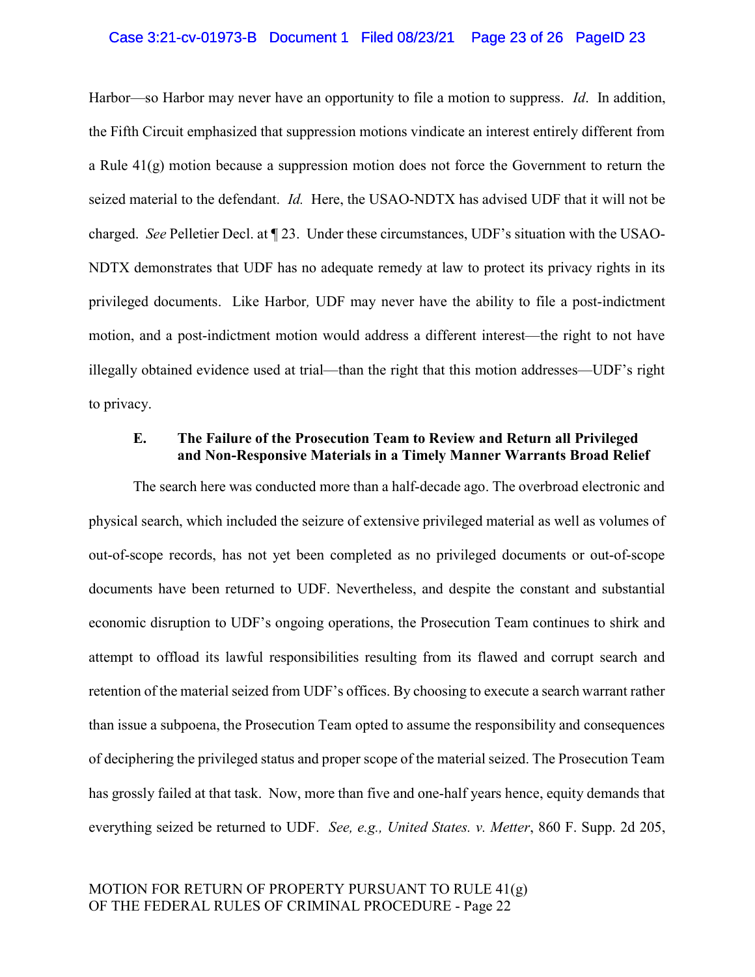## Case 3:21-cv-01973-B Document 1 Filed 08/23/21 Page 23 of 26 PageID 23

Harbor—so Harbor may never have an opportunity to file a motion to suppress. *Id.* In addition, the Fifth Circuit emphasized that suppression motions vindicate an interest entirely different from a Rule 41(g) motion because a suppression motion does not force the Government to return the seized material to the defendant. Id. Here, the USAO-NDTX has advised UDF that it will not be charged. See Pelletier Decl. at ¶ 23. Under these circumstances, UDF's situation with the USAO-NDTX demonstrates that UDF has no adequate remedy at law to protect its privacy rights in its privileged documents. Like Harbor, UDF may never have the ability to file a post-indictment motion, and a post-indictment motion would address a different interest—the right to not have illegally obtained evidence used at trial—than the right that this motion addresses—UDF's right to privacy.

## E. The Failure of the Prosecution Team to Review and Return all Privileged and Non-Responsive Materials in a Timely Manner Warrants Broad Relief

The search here was conducted more than a half-decade ago. The overbroad electronic and physical search, which included the seizure of extensive privileged material as well as volumes of out-of-scope records, has not yet been completed as no privileged documents or out-of-scope documents have been returned to UDF. Nevertheless, and despite the constant and substantial economic disruption to UDF's ongoing operations, the Prosecution Team continues to shirk and attempt to offload its lawful responsibilities resulting from its flawed and corrupt search and retention of the material seized from UDF's offices. By choosing to execute a search warrant rather than issue a subpoena, the Prosecution Team opted to assume the responsibility and consequences of deciphering the privileged status and proper scope of the material seized. The Prosecution Team has grossly failed at that task. Now, more than five and one-half years hence, equity demands that everything seized be returned to UDF. See, e.g., United States. v. Metter, 860 F. Supp. 2d 205,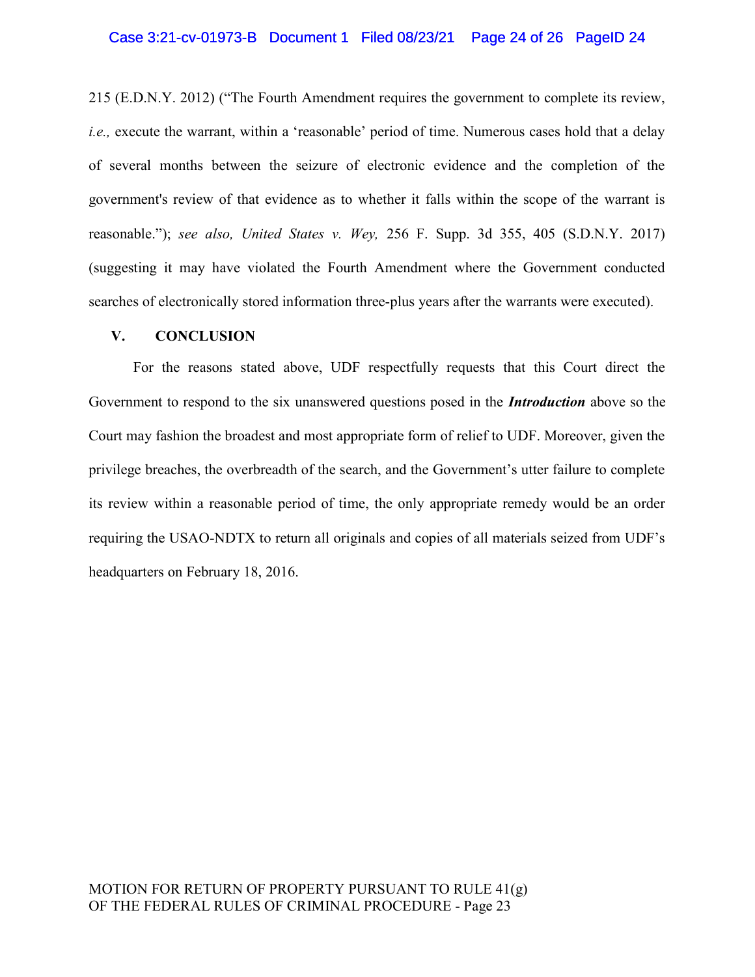### Case 3:21-cv-01973-B Document 1 Filed 08/23/21 Page 24 of 26 PageID 24

215 (E.D.N.Y. 2012) ("The Fourth Amendment requires the government to complete its review, i.e., execute the warrant, within a 'reasonable' period of time. Numerous cases hold that a delay of several months between the seizure of electronic evidence and the completion of the government's review of that evidence as to whether it falls within the scope of the warrant is reasonable."); see also, United States v. Wey, 256 F. Supp. 3d 355, 405 (S.D.N.Y. 2017) (suggesting it may have violated the Fourth Amendment where the Government conducted searches of electronically stored information three-plus years after the warrants were executed).

## V. CONCLUSION

For the reasons stated above, UDF respectfully requests that this Court direct the Government to respond to the six unanswered questions posed in the *Introduction* above so the Court may fashion the broadest and most appropriate form of relief to UDF. Moreover, given the privilege breaches, the overbreadth of the search, and the Government's utter failure to complete its review within a reasonable period of time, the only appropriate remedy would be an order requiring the USAO-NDTX to return all originals and copies of all materials seized from UDF's headquarters on February 18, 2016.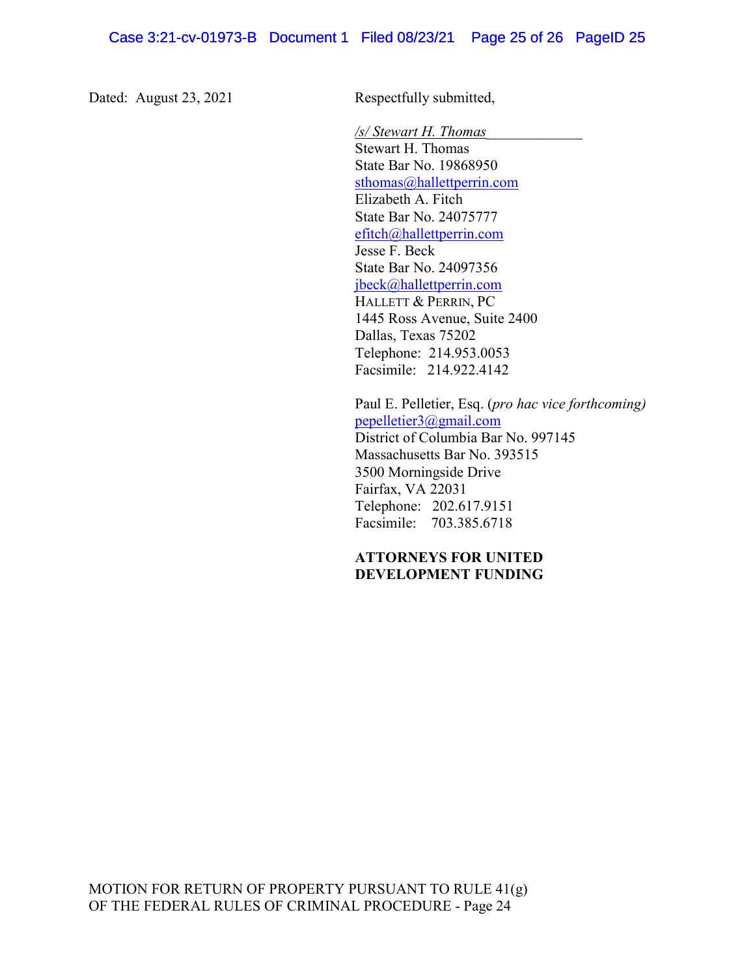Dated: August 23, 2021 Respectfully submitted,

 /s/ Stewart H. Thomas\_\_\_\_\_\_\_\_\_\_\_\_\_ Stewart H. Thomas State Bar No. 19868950 sthomas@hallettperrin.com Elizabeth A. Fitch State Bar No. 24075777 efitch@hallettperrin.com Jesse F. Beck State Bar No. 24097356 jbeck@hallettperrin.com HALLETT & PERRIN, PC 1445 Ross Avenue, Suite 2400 Dallas, Texas 75202 Telephone: 214.953.0053 Facsimile: 214.922.4142

 Paul E. Pelletier, Esq. (pro hac vice forthcoming) pepelletier3@gmail.com District of Columbia Bar No. 997145 Massachusetts Bar No. 393515 3500 Morningside Drive Fairfax, VA 22031 Telephone: 202.617.9151 Facsimile: 703.385.6718

# ATTORNEYS FOR UNITED DEVELOPMENT FUNDING